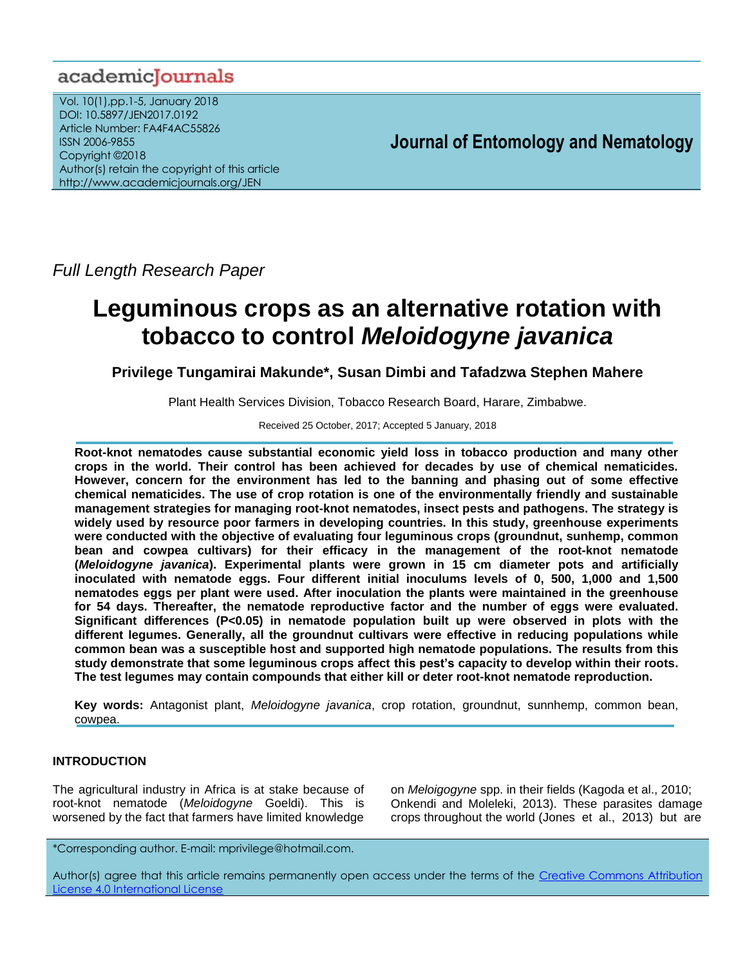# academicJournals

Vol. 10(1),pp.1-5, January 2018 DOI: 10.5897/JEN2017.0192 Article Number: FA4F4AC55826 ISSN 2006-9855 Copyright ©2018 Author(s) retain the copyright of this article http://www.academicjournals.org/JEN

**Journal of Entomology and Nematology**

*Full Length Research Paper*

# **Leguminous crops as an alternative rotation with tobacco to control** *Meloidogyne javanica*

**Privilege Tungamirai Makunde\*, Susan Dimbi and Tafadzwa Stephen Mahere** 

Plant Health Services Division, Tobacco Research Board, Harare, Zimbabwe.

Received 25 October, 2017; Accepted 5 January, 2018

**Root-knot nematodes cause substantial economic yield loss in tobacco production and many other crops in the world. Their control has been achieved for decades by use of chemical nematicides. However, concern for the environment has led to the banning and phasing out of some effective chemical nematicides. The use of crop rotation is one of the environmentally friendly and sustainable management strategies for managing root-knot nematodes, insect pests and pathogens. The strategy is widely used by resource poor farmers in developing countries. In this study, greenhouse experiments were conducted with the objective of evaluating four leguminous crops (groundnut, sunhemp, common bean and cowpea cultivars) for their efficacy in the management of the root-knot nematode (***Meloidogyne javanica***). Experimental plants were grown in 15 cm diameter pots and artificially inoculated with nematode eggs. Four different initial inoculums levels of 0, 500, 1,000 and 1,500 nematodes eggs per plant were used. After inoculation the plants were maintained in the greenhouse for 54 days. Thereafter, the nematode reproductive factor and the number of eggs were evaluated. Significant differences (P<0.05) in nematode population built up were observed in plots with the different legumes. Generally, all the groundnut cultivars were effective in reducing populations while common bean was a susceptible host and supported high nematode populations. The results from this study demonstrate that some leguminous crops affect this pest's capacity to develop within their roots. The test legumes may contain compounds that either kill or deter root-knot nematode reproduction.**

**Key words:** Antagonist plant, *Meloidogyne javanica*, crop rotation, groundnut, sunnhemp, common bean, cowpea.

# **INTRODUCTION**

The agricultural industry in Africa is at stake because of root-knot nematode (*Meloidogyne* Goeldi). This is worsened by the fact that farmers have limited knowledge on *Meloigogyne* spp. in their fields (Kagoda et al., 2010; Onkendi and Moleleki, 2013). These parasites damage crops throughout the world (Jones et al., 2013) but are

\*Corresponding author. E-mail: mprivilege@hotmail.com.

Author(s) agree that this article remains permanently open access under the terms of the Creative Commons Attribution [License 4.0 International License](http://creativecommons.org/licenses/by/4.0/deed.en_US)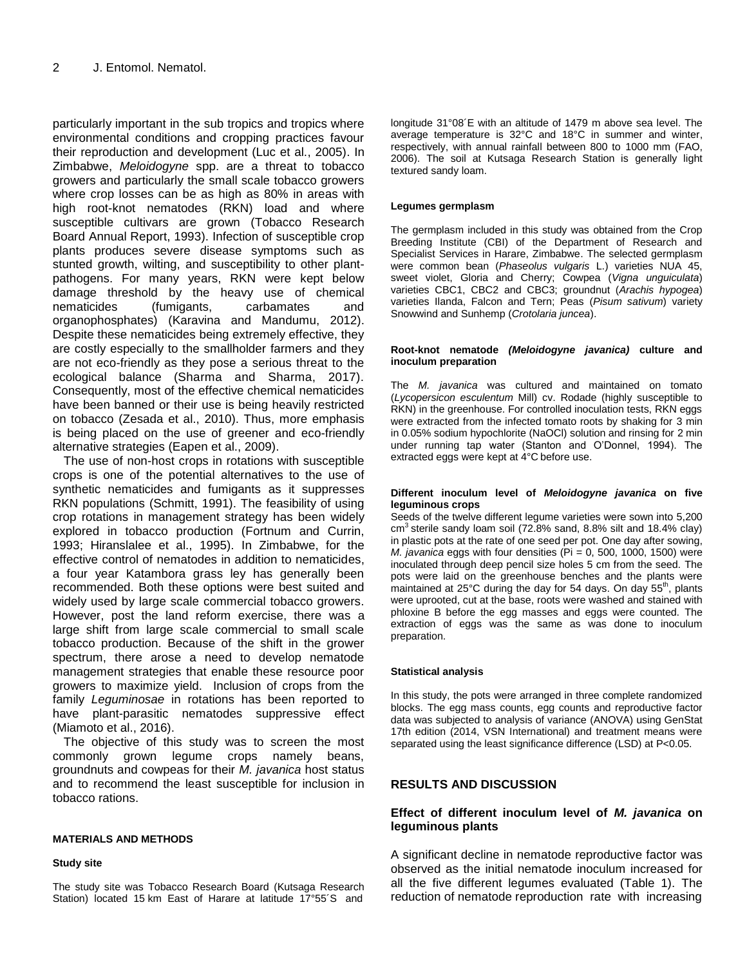particularly important in the sub tropics and tropics where environmental conditions and cropping practices favour their reproduction and development (Luc et al., 2005). In Zimbabwe, *Meloidogyne* spp. are a threat to tobacco growers and particularly the small scale tobacco growers where crop losses can be as high as 80% in areas with high root-knot nematodes (RKN) load and where susceptible cultivars are grown (Tobacco Research Board Annual Report, 1993). Infection of susceptible crop plants produces severe disease symptoms such as stunted growth, wilting, and susceptibility to other plantpathogens. For many years, RKN were kept below damage threshold by the heavy use of chemical nematicides (fumigants, carbamates and organophosphates) (Karavina and Mandumu, 2012). Despite these nematicides being extremely effective, they are costly especially to the smallholder farmers and they are not eco-friendly as they pose a serious threat to the ecological balance (Sharma and Sharma, 2017). Consequently, most of the effective chemical nematicides have been banned or their use is being heavily restricted on tobacco (Zesada et al., 2010). Thus, more emphasis is being placed on the use of greener and eco-friendly alternative strategies (Eapen et al., 2009).

The use of non-host crops in rotations with susceptible crops is one of the potential alternatives to the use of synthetic nematicides and fumigants as it suppresses RKN populations (Schmitt, 1991). The feasibility of using crop rotations in management strategy has been widely explored in tobacco production (Fortnum and Currin, 1993; Hiranslalee et al., 1995). In Zimbabwe, for the effective control of nematodes in addition to nematicides, a four year Katambora grass ley has generally been recommended. Both these options were best suited and widely used by large scale commercial tobacco growers. However, post the land reform exercise, there was a large shift from large scale commercial to small scale tobacco production. Because of the shift in the grower spectrum, there arose a need to develop nematode management strategies that enable these resource poor growers to maximize yield. Inclusion of crops from the family *Leguminosae* in rotations has been reported to have plant-parasitic nematodes suppressive effect (Miamoto et al., 2016).

The objective of this study was to screen the most commonly grown legume crops namely beans, groundnuts and cowpeas for their *M. javanica* host status and to recommend the least susceptible for inclusion in tobacco rations.

## **MATERIALS AND METHODS**

#### **Study site**

The study site was Tobacco Research Board (Kutsaga Research Station) located 15 km East of Harare at latitude 17°55´S and longitude 31°08´E with an altitude of 1479 m above sea level. The average temperature is 32°C and 18°C in summer and winter, respectively, with annual rainfall between 800 to 1000 mm (FAO, 2006). The soil at Kutsaga Research Station is generally light textured sandy loam.

#### **Legumes germplasm**

The germplasm included in this study was obtained from the Crop Breeding Institute (CBI) of the Department of Research and Specialist Services in Harare, Zimbabwe. The selected germplasm were common bean (*Phaseolus vulgaris* L.) varieties NUA 45, sweet violet, Gloria and Cherry; Cowpea (*Vigna unguiculata*) varieties CBC1, CBC2 and CBC3; groundnut (*Arachis hypogea*) varieties Ilanda, Falcon and Tern; Peas (*Pisum sativum*) variety Snowwind and Sunhemp (*Crotolaria juncea*).

#### **Root-knot nematode** *(Meloidogyne javanica)* **culture and inoculum preparation**

The *M. javanica* was cultured and maintained on tomato (*Lycopersicon esculentum* Mill) cv. Rodade (highly susceptible to RKN) in the greenhouse. For controlled inoculation tests, RKN eggs were extracted from the infected tomato roots by shaking for 3 min in 0.05% sodium hypochlorite (NaOCl) solution and rinsing for 2 min under running tap water (Stanton and O'Donnel, 1994). The extracted eggs were kept at 4°C before use.

#### **Different inoculum level of** *Meloidogyne javanica* **on five leguminous crops**

Seeds of the twelve different legume varieties were sown into 5,200  $cm<sup>3</sup>$  sterile sandy loam soil (72.8% sand, 8.8% silt and 18.4% clay) in plastic pots at the rate of one seed per pot. One day after sowing, *M. javanica* eggs with four densities (Pi = 0, 500, 1000, 1500) were inoculated through deep pencil size holes 5 cm from the seed. The pots were laid on the greenhouse benches and the plants were maintained at 25°C during the day for 54 days. On day 55<sup>th</sup>, plants were uprooted, cut at the base, roots were washed and stained with phloxine B before the egg masses and eggs were counted. The extraction of eggs was the same as was done to inoculum preparation.

#### **Statistical analysis**

In this study, the pots were arranged in three complete randomized blocks. The egg mass counts, egg counts and reproductive factor data was subjected to analysis of variance (ANOVA) using GenStat 17th edition (2014, VSN International) and treatment means were separated using the least significance difference (LSD) at P<0.05.

# **RESULTS AND DISCUSSION**

# **Effect of different inoculum level of** *M. javanica* **on leguminous plants**

A significant decline in nematode reproductive factor was observed as the initial nematode inoculum increased for all the five different legumes evaluated (Table 1). The reduction of nematode reproduction rate with increasing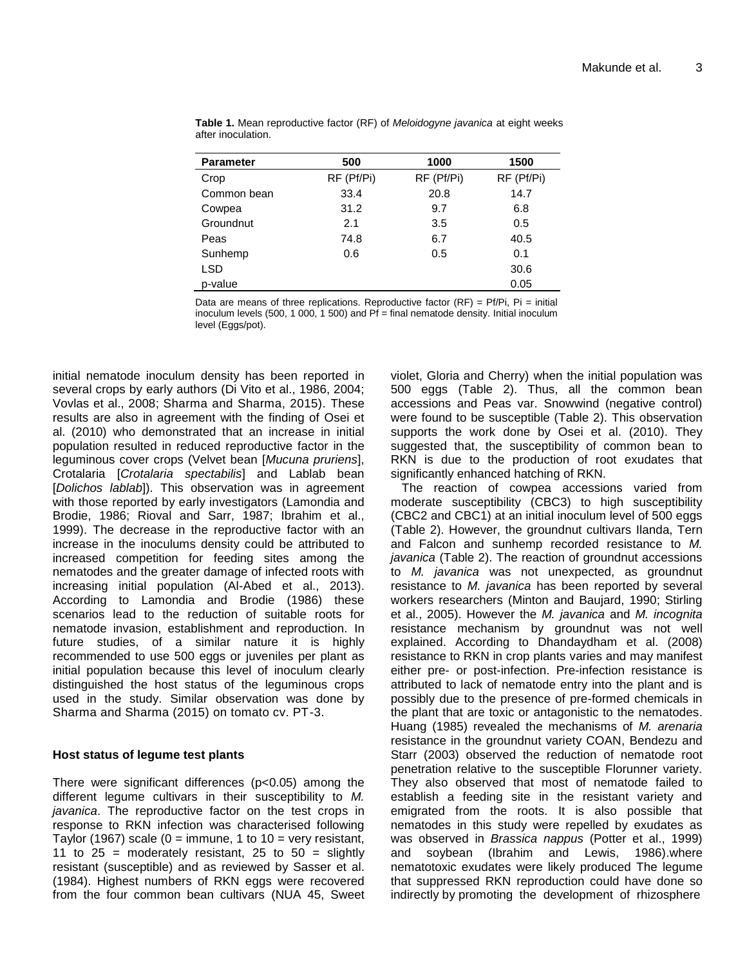| <b>Parameter</b> | 500        | 1000       | 1500       |  |
|------------------|------------|------------|------------|--|
| Crop             | RF (Pf/Pi) | RF (Pf/Pi) | RF (Pf/Pi) |  |
| Common bean      | 33.4       | 20.8       | 14.7       |  |
| Cowpea           | 31.2       | 9.7        | 6.8        |  |
| Groundnut        | 2.1        | 3.5        | 0.5        |  |
| Peas             | 74.8       | 6.7        | 40.5       |  |
| Sunhemp          | 0.6        | 0.5        | 0.1        |  |
| <b>LSD</b>       |            |            | 30.6       |  |
| p-value          |            |            | 0.05       |  |

**Table 1.** Mean reproductive factor (RF) of *Meloidogyne javanica* at eight weeks after inoculation.

Data are means of three replications. Reproductive factor  $(RF) = Pf/Pi$ , Pi = initial inoculum levels (500, 1 000, 1 500) and  $Pf = final$  nematode density. Initial inoculum level (Eggs/pot).

initial nematode inoculum density has been reported in several crops by early authors (Di Vito et al., 1986, 2004; Vovlas et al., 2008; Sharma and Sharma, 2015). These results are also in agreement with the finding of Osei et al. (2010) who demonstrated that an increase in initial population resulted in reduced reproductive factor in the leguminous cover crops (Velvet bean [*Mucuna pruriens*], Crotalaria [*Crotalaria spectabilis*] and Lablab bean [*Dolichos lablab*]). This observation was in agreement with those reported by early investigators (Lamondia and Brodie, 1986; Rioval and Sarr, 1987; Ibrahim et al., 1999). The decrease in the reproductive factor with an increase in the inoculums density could be attributed to increased competition for feeding sites among the nematodes and the greater damage of infected roots with increasing initial population (Al-Abed et al., 2013). According to Lamondia and Brodie (1986) these scenarios lead to the reduction of suitable roots for nematode invasion, establishment and reproduction. In future studies, of a similar nature it is highly recommended to use 500 eggs or juveniles per plant as initial population because this level of inoculum clearly distinguished the host status of the leguminous crops used in the study. Similar observation was done by Sharma and Sharma (2015) on tomato cv. PT-3.

# **Host status of legume test plants**

There were significant differences (p<0.05) among the different legume cultivars in their susceptibility to *M. javanica*. The reproductive factor on the test crops in response to RKN infection was characterised following Taylor (1967) scale ( $0 =$  immune, 1 to 10 = very resistant, 11 to  $25$  = moderately resistant, 25 to  $50$  = slightly resistant (susceptible) and as reviewed by Sasser et al. (1984). Highest numbers of RKN eggs were recovered from the four common bean cultivars (NUA 45, Sweet violet, Gloria and Cherry) when the initial population was 500 eggs (Table 2). Thus, all the common bean accessions and Peas var. Snowwind (negative control) were found to be susceptible (Table 2). This observation supports the work done by Osei et al. (2010). They suggested that, the susceptibility of common bean to RKN is due to the production of root exudates that significantly enhanced hatching of RKN.

The reaction of cowpea accessions varied from moderate susceptibility (CBC3) to high susceptibility (CBC2 and CBC1) at an initial inoculum level of 500 eggs (Table 2). However, the groundnut cultivars Ilanda, Tern and Falcon and sunhemp recorded resistance to *M. javanica* (Table 2). The reaction of groundnut accessions to *M. javanica* was not unexpected, as groundnut resistance to *M. javanica* has been reported by several workers researchers (Minton and Baujard, 1990; Stirling et al., 2005). However the *M. javanica* and *M. incognita* resistance mechanism by groundnut was not well explained. According to [Dhandaydham](https://www.ncbi.nlm.nih.gov/pubmed/?term=Dhandaydham%20M%5BAuthor%5D&cauthor=true&cauthor_uid=19259519) et al. (2008) resistance to RKN in crop plants varies and may manifest either pre- or post-infection. Pre-infection resistance is attributed to lack of nematode entry into the plant and is possibly due to the presence of pre-formed chemicals in the plant that are toxic or antagonistic to the nematodes. [Huang \(1985\)](https://www.ncbi.nlm.nih.gov/pmc/articles/PMC2586522/#B22) revealed the mechanisms of *M. arenaria* resistance in the groundnut variety COAN, Bendezu and Starr (2003) observed the reduction of nematode root penetration relative to the susceptible Florunner variety. They also observed that most of nematode failed to establish a feeding site in the resistant variety and emigrated from the roots. It is also possible that nematodes in this study were repelled by exudates as was observed in *Brassica nappus* (Potter et al., 1999) and soybean (Ibrahim and Lewis, 1986).where nematotoxic exudates were likely produced The legume that suppressed RKN reproduction could have done so indirectly by promoting the development of rhizosphere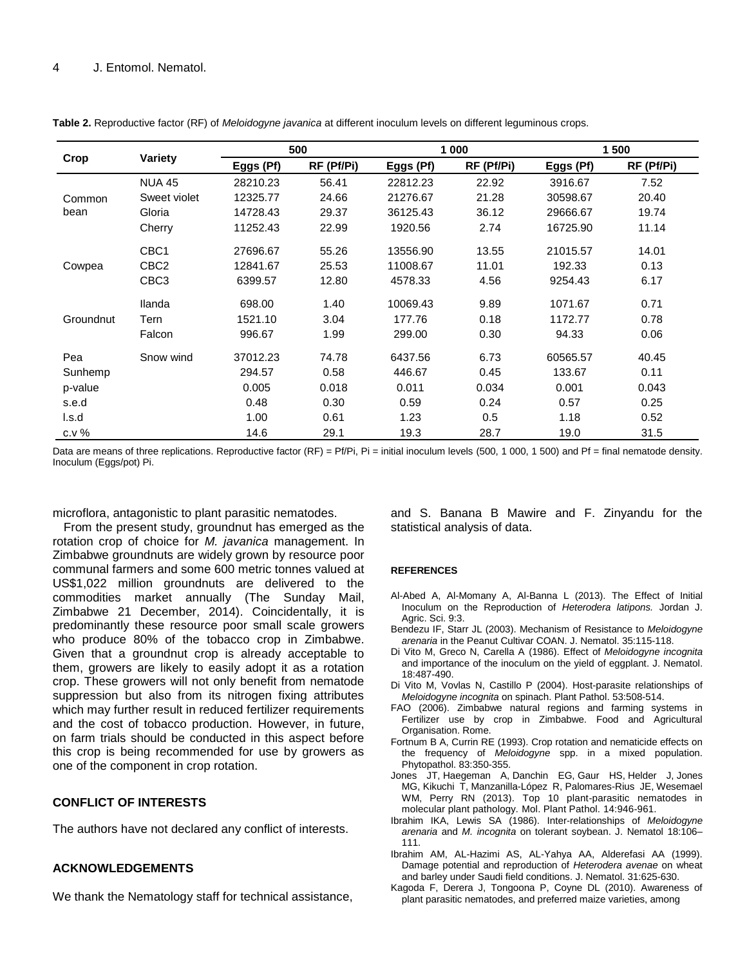# 4 J. Entomol. Nematol.

| Crop           | <b>Variety</b>   | 500       |            | 1 000     |            | 1 500     |            |
|----------------|------------------|-----------|------------|-----------|------------|-----------|------------|
|                |                  | Eggs (Pf) | RF (Pf/Pi) | Eggs (Pf) | RF (Pf/Pi) | Eggs (Pf) | RF (Pf/Pi) |
| Common<br>bean | <b>NUA 45</b>    | 28210.23  | 56.41      | 22812.23  | 22.92      | 3916.67   | 7.52       |
|                | Sweet violet     | 12325.77  | 24.66      | 21276.67  | 21.28      | 30598.67  | 20.40      |
|                | Gloria           | 14728.43  | 29.37      | 36125.43  | 36.12      | 29666.67  | 19.74      |
|                | Cherry           | 11252.43  | 22.99      | 1920.56   | 2.74       | 16725.90  | 11.14      |
| Cowpea         | CBC <sub>1</sub> | 27696.67  | 55.26      | 13556.90  | 13.55      | 21015.57  | 14.01      |
|                | CBC <sub>2</sub> | 12841.67  | 25.53      | 11008.67  | 11.01      | 192.33    | 0.13       |
|                | CBC <sub>3</sub> | 6399.57   | 12.80      | 4578.33   | 4.56       | 9254.43   | 6.17       |
| Groundnut      | <b>Ilanda</b>    | 698.00    | 1.40       | 10069.43  | 9.89       | 1071.67   | 0.71       |
|                | Tern             | 1521.10   | 3.04       | 177.76    | 0.18       | 1172.77   | 0.78       |
|                | Falcon           | 996.67    | 1.99       | 299.00    | 0.30       | 94.33     | 0.06       |
| Pea            | Snow wind        | 37012.23  | 74.78      | 6437.56   | 6.73       | 60565.57  | 40.45      |
| Sunhemp        |                  | 294.57    | 0.58       | 446.67    | 0.45       | 133.67    | 0.11       |
| p-value        |                  | 0.005     | 0.018      | 0.011     | 0.034      | 0.001     | 0.043      |
| s.e.d          |                  | 0.48      | 0.30       | 0.59      | 0.24       | 0.57      | 0.25       |
| l.s.d          |                  | 1.00      | 0.61       | 1.23      | 0.5        | 1.18      | 0.52       |
| c.v. %         |                  | 14.6      | 29.1       | 19.3      | 28.7       | 19.0      | 31.5       |

**Table 2.** Reproductive factor (RF) of *Meloidogyne javanica* at different inoculum levels on different leguminous crops.

Data are means of three replications. Reproductive factor (RF) = Pf/Pi, Pi = initial inoculum levels (500, 1 000, 1 500) and Pf = final nematode density. Inoculum (Eggs/pot) Pi.

microflora, antagonistic to plant parasitic nematodes.

From the present study, groundnut has emerged as the rotation crop of choice for *M. javanica* management. In Zimbabwe groundnuts are widely grown by resource poor communal farmers and some 600 metric tonnes valued at US\$1,022 million groundnuts are delivered to the commodities market annually (The Sunday Mail, Zimbabwe 21 December, 2014). Coincidentally, it is predominantly these resource poor small scale growers who produce 80% of the tobacco crop in Zimbabwe. Given that a groundnut crop is already acceptable to them, growers are likely to easily adopt it as a rotation crop. These growers will not only benefit from nematode suppression but also from its nitrogen fixing attributes which may further result in reduced fertilizer requirements and the cost of tobacco production. However, in future, on farm trials should be conducted in this aspect before this crop is being recommended for use by growers as one of the component in crop rotation.

## **CONFLICT OF INTERESTS**

The authors have not declared any conflict of interests.

# **ACKNOWLEDGEMENTS**

We thank the Nematology staff for technical assistance,

and S. Banana B Mawire and F. Zinyandu for the statistical analysis of data.

#### **REFERENCES**

- Al-Abed A, Al-Momany A, Al-Banna L (2013). The Effect of Initial Inoculum on the Reproduction of *Heterodera latipons.* Jordan J. Agric. Sci. 9:3.
- Bendezu IF, Starr JL (2003). Mechanism of Resistance to *Meloidogyne arenaria* in the Peanut Cultivar COAN. J. Nematol. 35:115-118.
- Di Vito M, Greco N, Carella A (1986). Effect of *Meloidogyne incognita* and importance of the inoculum on the yield of eggplant. J. Nematol. 18:487-490.
- Di Vito M, Vovlas N, Castillo P (2004). Host-parasite relationships of *Meloidogyne incognita* on spinach. Plant Pathol. 53:508-514.
- FAO (2006). Zimbabwe natural regions and farming systems in Fertilizer use by crop in Zimbabwe. Food and Agricultural Organisation. Rome.
- Fortnum B A, Currin RE (1993). Crop rotation and nematicide effects on the frequency of *Meloidogyne* spp. in a mixed population. Phytopathol. 83:350-355.
- Jones JT, Haegeman A, Danchin EG, Gaur HS, Helder J, Jones MG, Kikuchi T, Manzanilla-López R, Palomares-Rius JE, Wesemael WM, Perry RN (2013). Top 10 plant-parasitic nematodes in molecular plant pathology*.* Mol. Plant Pathol. 14:946-961.
- Ibrahim IKA, Lewis SA (1986). Inter-relationships of *Meloidogyne arenaria* and *M. incognita* on tolerant soybean. J. Nematol 18:106– 111.
- Ibrahim AM, AL-Hazimi AS, AL-Yahya AA, Alderefasi AA (1999). Damage potential and reproduction of *Heterodera avenae* on wheat and barley under Saudi field conditions. J. Nematol. 31:625-630.
- Kagoda F, Derera J, Tongoona P, Coyne DL (2010). Awareness of plant parasitic nematodes, and preferred maize varieties, among